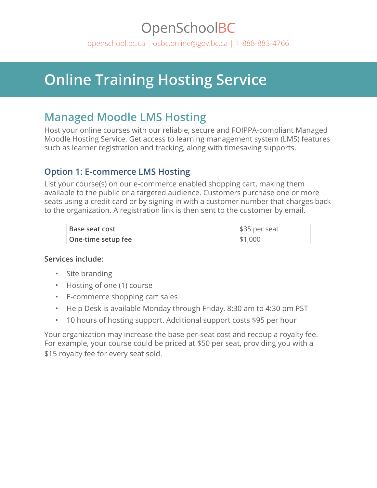# OpenSchoolBC

[openschool.bc.ca](http://openschool.bc.ca) | [osbc.online@gov.bc.ca](mailto:osbc.online@gov.bc.ca) | 1-888-883-4766

# **Online Training Hosting Service**

## **Managed Moodle LMS Hosting**

Host your online courses with our reliable, secure and FOIPPA-compliant Managed Moodle Hosting Service. Get access to learning management system (LMS) features such as learner registration and tracking, along with timesaving supports.

### **Option 1: E-commerce LMS Hosting**

List your course(s) on our e-commerce enabled shopping cart, making them available to the public or a targeted audience. Customers purchase one or more seats using a credit card or by signing in with a customer number that charges back to the organization. A registration link is then sent to the customer by email.

| Base seat cost     | \$35 per seat |
|--------------------|---------------|
| One-time setup fee | \$1,000       |

#### **Services include:**

- Site branding
- Hosting of one (1) course
- E-commerce shopping cart sales
- Help Desk is available Monday through Friday, 8:30 am to 4:30 pm PST
- 10 hours of hosting support. Additional support costs \$95 per hour

Your organization may increase the base per-seat cost and recoup a royalty fee. For example, your course could be priced at \$50 per seat, providing you with a \$15 royalty fee for every seat sold.